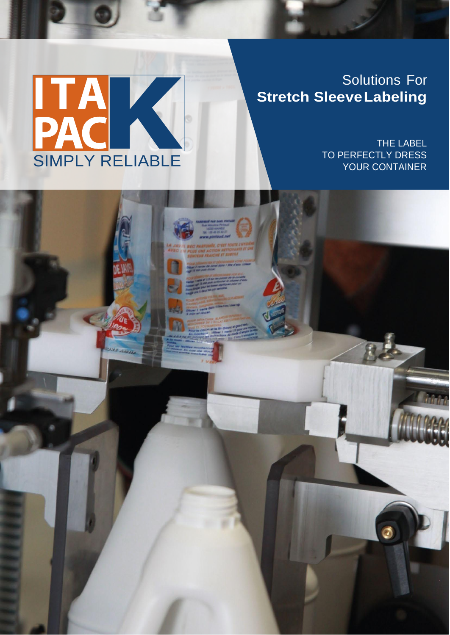

# Solutions For **Stretch SleeveLabeling**

THE LABEL TO PERFECTLY DRESS YOUR CONTAINER

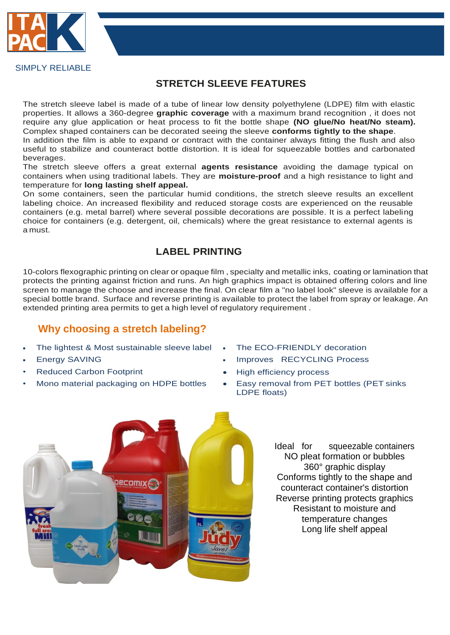

#### SIMPLY RELIABLE

### **STRETCH SLEEVE FEATURES**

The stretch sleeve label is made of a tube of linear low density polyethylene (LDPE) film with elastic properties. It allows a 360-degree **graphic coverage** with a maximum brand recognition , it does not require any glue application or heat process to fit the bottle shape **(NO glue/No heat/No steam).**  Complex shaped containers can be decorated seeing the sleeve **conforms tightly to the shape**.

In addition the film is able to expand or contract with the container always fitting the flush and also useful to stabilize and counteract bottle distortion. It is ideal for squeezable bottles and carbonated beverages.

The stretch sleeve offers a great external **agents resistance** avoiding the damage typical on containers when using traditional labels. They are **moisture-proof** and a high resistance to light and temperature for **long lasting shelf appeal.**

On some containers, seen the particular humid conditions, the stretch sleeve results an excellent labeling choice. An increased flexibility and reduced storage costs are experienced on the reusable containers (e.g. metal barrel) where several possible decorations are possible. It is a perfect labeling choice for containers (e.g. detergent, oil, chemicals) where the great resistance to external agents is a must.

#### **LABEL PRINTING**

10-colors flexographic printing on clear or opaque film, specialty and metallic inks, coating or lamination that protects the printing against friction and runs. An high graphics impact is obtained offering colors and line screen to manage the choose and increase the final. On clear film a "no label look" sleeve is available for a special bottle brand. Surface and reverse printing is available to protect the label from spray or leakage. An extended printing area permits to get a high level of regulatory requirement .

### **Why choosing a stretch labeling?**

- The lightest & Most sustainable sleeve label The ECO-FRIENDLY decoration
- 
- Reduced Carbon Footprint **Carbon Footprint Accord Particle 1** Figh efficiency process
- 
- 
- Energy SAVING **Improves RECYCLING Process** 
	-
- Mono material packaging on HDPE bottles . Easy removal from PET bottles (PET sinks LDPE floats)



Ideal for squeezable containers NO pleat formation or bubbles 360° graphic display Conforms tightly to the shape and counteract container's distortion Reverse printing protects graphics Resistant to moisture and temperature changes Long life shelf appeal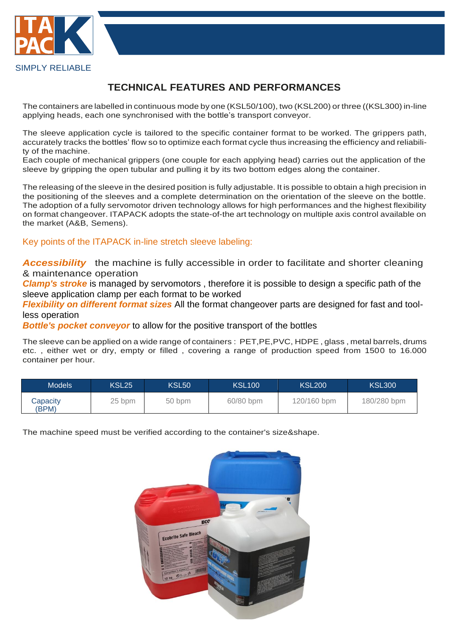

#### SIMPLY RELIABLE

## **TECHNICAL FEATURES AND PERFORMANCES**

The containers are labelled in continuous mode by one (KSL50/100), two (KSL200) or three ((KSL300) in-line applying heads, each one synchronised with the bottle's transport conveyor.

The sleeve application cycle is tailored to the specific container format to be worked. The grippers path, accurately tracks the bottles' flow so to optimize each format cycle thus increasing the efficiency and reliability of the machine.

Each couple of mechanical grippers (one couple for each applying head) carries out the application of the sleeve by gripping the open tubular and pulling it by its two bottom edges along the container.

The releasing of the sleeve in the desired position is fully adjustable. It is possible to obtain a high precision in the positioning of the sleeves and a complete determination on the orientation of the sleeve on the bottle. The adoption of a fully servomotor driven technology allows for high performances and the highest flexibility on format changeover. ITAPACK adopts the state-of-the art technology on multiple axis control available on the market (A&B, Semens).

Key points of the ITAPACK in-line stretch sleeve labeling:

**Accessibility** the machine is fully accessible in order to facilitate and shorter cleaning & maintenance operation

*Clamp's stroke* is managed by servomotors, therefore it is possible to design a specific path of the sleeve application clamp per each format to be worked

*Flexibility on different format sizes* All the format changeover parts are designed for fast and toolless operation

*Bottle's pocket conveyor* to allow for the positive transport of the bottles

The sleeve can be applied on a wide range of containers : PET,PE,PVC, HDPE, glass, metal barrels, drums etc. , either wet or dry, empty or filled , covering a range of production speed from 1500 to 16.000 container per hour.

| <b>Models</b>     | KSL25  | <b>KSL50</b> | <b>KSL100</b> | <b>KSL200</b> | <b>KSL300</b> |
|-------------------|--------|--------------|---------------|---------------|---------------|
| Capacity<br>(BPM) | 25 bpm | 50 bpm       | 60/80 bpm     | 120/160 bpm   | 180/280 bpm   |

The machine speed must be verified according to the container's size&shape.